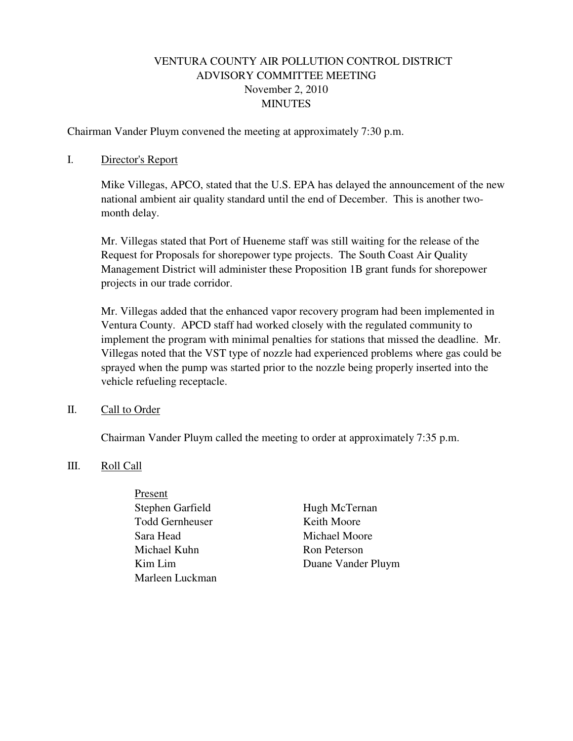# VENTURA COUNTY AIR POLLUTION CONTROL DISTRICT ADVISORY COMMITTEE MEETING November 2, 2010 MINUTES

Chairman Vander Pluym convened the meeting at approximately 7:30 p.m.

#### I. Director's Report

Mike Villegas, APCO, stated that the U.S. EPA has delayed the announcement of the new national ambient air quality standard until the end of December. This is another twomonth delay.

Mr. Villegas stated that Port of Hueneme staff was still waiting for the release of the Request for Proposals for shorepower type projects. The South Coast Air Quality Management District will administer these Proposition 1B grant funds for shorepower projects in our trade corridor.

Mr. Villegas added that the enhanced vapor recovery program had been implemented in Ventura County. APCD staff had worked closely with the regulated community to implement the program with minimal penalties for stations that missed the deadline. Mr. Villegas noted that the VST type of nozzle had experienced problems where gas could be sprayed when the pump was started prior to the nozzle being properly inserted into the vehicle refueling receptacle.

## II. Call to Order

Chairman Vander Pluym called the meeting to order at approximately 7:35 p.m.

## III. Roll Call

- Present Stephen Garfield Hugh McTernan Todd Gernheuser Keith Moore Sara Head Michael Moore Michael Kuhn Ron Peterson Marleen Luckman
- Kim Lim Duane Vander Pluym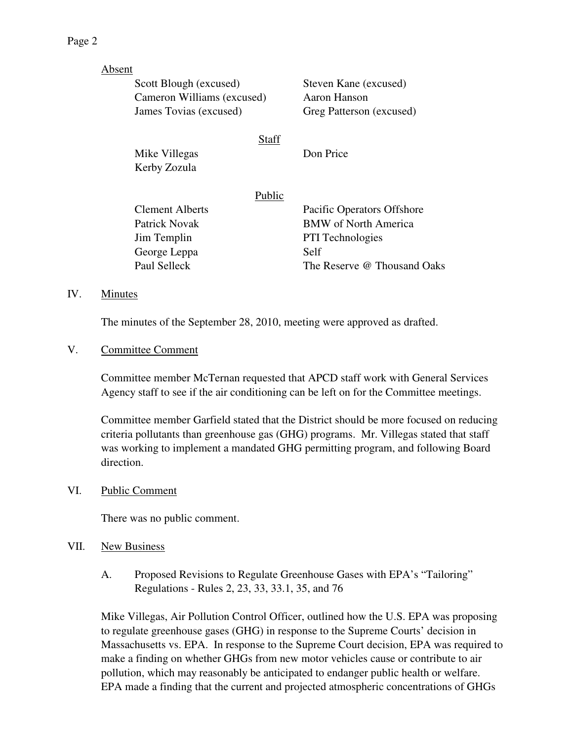| Absent |                            |        |                             |
|--------|----------------------------|--------|-----------------------------|
|        | Scott Blough (excused)     |        | Steven Kane (excused)       |
|        | Cameron Williams (excused) |        | Aaron Hanson                |
|        | James Tovias (excused)     |        | Greg Patterson (excused)    |
|        |                            | Staff  |                             |
|        | Mike Villegas              |        | Don Price                   |
|        | Kerby Zozula               |        |                             |
|        |                            | Public |                             |
|        | Clement Alberts            |        | Pacific Operators Offshore  |
|        | Patrick Novak              |        | <b>BMW</b> of North America |
|        | Jim Templin                |        | <b>PTI</b> Technologies     |
|        | George Leppa               |        | Self                        |
|        | Paul Selleck               |        | The Reserve @ Thousand Oaks |
|        |                            |        |                             |

#### IV. Minutes

The minutes of the September 28, 2010, meeting were approved as drafted.

#### V. Committee Comment

Committee member McTernan requested that APCD staff work with General Services Agency staff to see if the air conditioning can be left on for the Committee meetings.

Committee member Garfield stated that the District should be more focused on reducing criteria pollutants than greenhouse gas (GHG) programs. Mr. Villegas stated that staff was working to implement a mandated GHG permitting program, and following Board direction.

## VI. Public Comment

There was no public comment.

#### VII. New Business

A. Proposed Revisions to Regulate Greenhouse Gases with EPA's "Tailoring" Regulations - Rules 2, 23, 33, 33.1, 35, and 76

Mike Villegas, Air Pollution Control Officer, outlined how the U.S. EPA was proposing to regulate greenhouse gases (GHG) in response to the Supreme Courts' decision in Massachusetts vs. EPA. In response to the Supreme Court decision, EPA was required to make a finding on whether GHGs from new motor vehicles cause or contribute to air pollution, which may reasonably be anticipated to endanger public health or welfare. EPA made a finding that the current and projected atmospheric concentrations of GHGs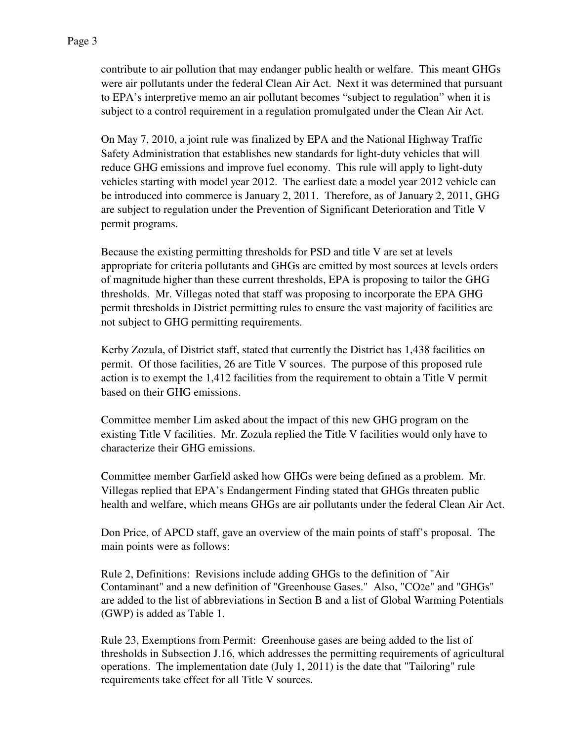contribute to air pollution that may endanger public health or welfare. This meant GHGs were air pollutants under the federal Clean Air Act. Next it was determined that pursuant to EPA's interpretive memo an air pollutant becomes "subject to regulation" when it is subject to a control requirement in a regulation promulgated under the Clean Air Act.

On May 7, 2010, a joint rule was finalized by EPA and the National Highway Traffic Safety Administration that establishes new standards for light-duty vehicles that will reduce GHG emissions and improve fuel economy. This rule will apply to light-duty vehicles starting with model year 2012. The earliest date a model year 2012 vehicle can be introduced into commerce is January 2, 2011. Therefore, as of January 2, 2011, GHG are subject to regulation under the Prevention of Significant Deterioration and Title V permit programs.

Because the existing permitting thresholds for PSD and title V are set at levels appropriate for criteria pollutants and GHGs are emitted by most sources at levels orders of magnitude higher than these current thresholds, EPA is proposing to tailor the GHG thresholds. Mr. Villegas noted that staff was proposing to incorporate the EPA GHG permit thresholds in District permitting rules to ensure the vast majority of facilities are not subject to GHG permitting requirements.

Kerby Zozula, of District staff, stated that currently the District has 1,438 facilities on permit. Of those facilities, 26 are Title V sources. The purpose of this proposed rule action is to exempt the 1,412 facilities from the requirement to obtain a Title V permit based on their GHG emissions.

Committee member Lim asked about the impact of this new GHG program on the existing Title V facilities. Mr. Zozula replied the Title V facilities would only have to characterize their GHG emissions.

Committee member Garfield asked how GHGs were being defined as a problem. Mr. Villegas replied that EPA's Endangerment Finding stated that GHGs threaten public health and welfare, which means GHGs are air pollutants under the federal Clean Air Act.

Don Price, of APCD staff, gave an overview of the main points of staff's proposal. The main points were as follows:

Rule 2, Definitions: Revisions include adding GHGs to the definition of "Air Contaminant" and a new definition of "Greenhouse Gases." Also, "CO2e" and "GHGs" are added to the list of abbreviations in Section B and a list of Global Warming Potentials (GWP) is added as Table 1.

Rule 23, Exemptions from Permit: Greenhouse gases are being added to the list of thresholds in Subsection J.16, which addresses the permitting requirements of agricultural operations. The implementation date (July 1, 2011) is the date that "Tailoring" rule requirements take effect for all Title V sources.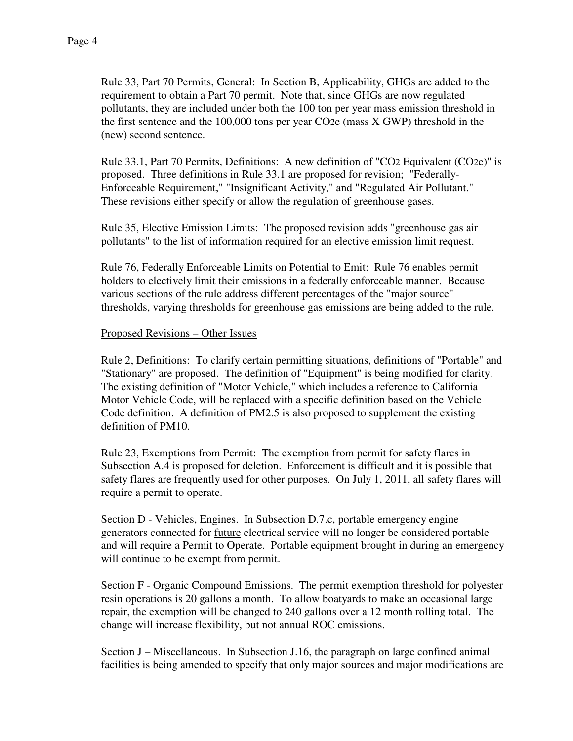Rule 33, Part 70 Permits, General: In Section B, Applicability, GHGs are added to the requirement to obtain a Part 70 permit. Note that, since GHGs are now regulated pollutants, they are included under both the 100 ton per year mass emission threshold in the first sentence and the 100,000 tons per year CO2e (mass X GWP) threshold in the (new) second sentence.

Rule 33.1, Part 70 Permits, Definitions: A new definition of "CO2 Equivalent (CO2e)" is proposed. Three definitions in Rule 33.1 are proposed for revision; "Federally-Enforceable Requirement," "Insignificant Activity," and "Regulated Air Pollutant." These revisions either specify or allow the regulation of greenhouse gases.

Rule 35, Elective Emission Limits: The proposed revision adds "greenhouse gas air pollutants" to the list of information required for an elective emission limit request.

Rule 76, Federally Enforceable Limits on Potential to Emit: Rule 76 enables permit holders to electively limit their emissions in a federally enforceable manner. Because various sections of the rule address different percentages of the "major source" thresholds, varying thresholds for greenhouse gas emissions are being added to the rule.

# Proposed Revisions – Other Issues

Rule 2, Definitions: To clarify certain permitting situations, definitions of "Portable" and "Stationary" are proposed. The definition of "Equipment" is being modified for clarity. The existing definition of "Motor Vehicle," which includes a reference to California Motor Vehicle Code, will be replaced with a specific definition based on the Vehicle Code definition. A definition of PM2.5 is also proposed to supplement the existing definition of PM10.

Rule 23, Exemptions from Permit: The exemption from permit for safety flares in Subsection A.4 is proposed for deletion. Enforcement is difficult and it is possible that safety flares are frequently used for other purposes. On July 1, 2011, all safety flares will require a permit to operate.

Section D - Vehicles, Engines. In Subsection D.7.c, portable emergency engine generators connected for future electrical service will no longer be considered portable and will require a Permit to Operate. Portable equipment brought in during an emergency will continue to be exempt from permit.

Section F - Organic Compound Emissions. The permit exemption threshold for polyester resin operations is 20 gallons a month. To allow boatyards to make an occasional large repair, the exemption will be changed to 240 gallons over a 12 month rolling total. The change will increase flexibility, but not annual ROC emissions.

Section J – Miscellaneous. In Subsection J.16, the paragraph on large confined animal facilities is being amended to specify that only major sources and major modifications are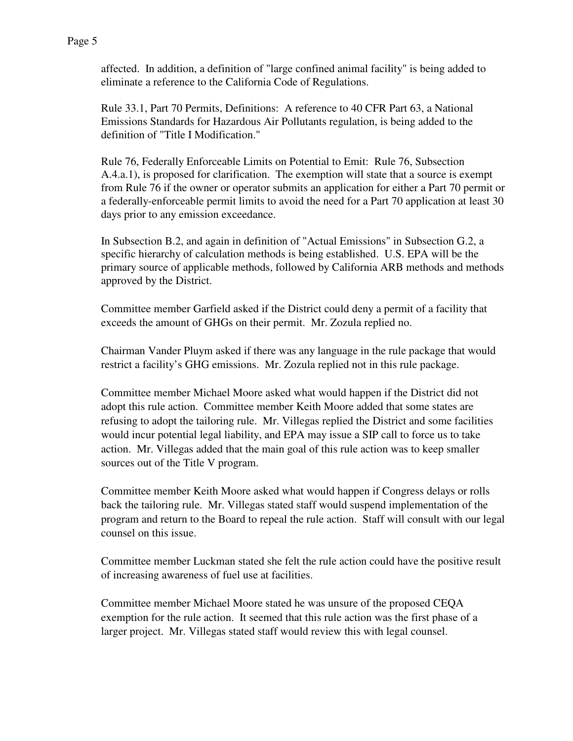Page 5

affected. In addition, a definition of "large confined animal facility" is being added to eliminate a reference to the California Code of Regulations.

Rule 33.1, Part 70 Permits, Definitions: A reference to 40 CFR Part 63, a National Emissions Standards for Hazardous Air Pollutants regulation, is being added to the definition of "Title I Modification."

Rule 76, Federally Enforceable Limits on Potential to Emit: Rule 76, Subsection A.4.a.1), is proposed for clarification. The exemption will state that a source is exempt from Rule 76 if the owner or operator submits an application for either a Part 70 permit or a federally-enforceable permit limits to avoid the need for a Part 70 application at least 30 days prior to any emission exceedance.

In Subsection B.2, and again in definition of "Actual Emissions" in Subsection G.2, a specific hierarchy of calculation methods is being established. U.S. EPA will be the primary source of applicable methods, followed by California ARB methods and methods approved by the District.

Committee member Garfield asked if the District could deny a permit of a facility that exceeds the amount of GHGs on their permit. Mr. Zozula replied no.

Chairman Vander Pluym asked if there was any language in the rule package that would restrict a facility's GHG emissions. Mr. Zozula replied not in this rule package.

Committee member Michael Moore asked what would happen if the District did not adopt this rule action. Committee member Keith Moore added that some states are refusing to adopt the tailoring rule. Mr. Villegas replied the District and some facilities would incur potential legal liability, and EPA may issue a SIP call to force us to take action. Mr. Villegas added that the main goal of this rule action was to keep smaller sources out of the Title V program.

Committee member Keith Moore asked what would happen if Congress delays or rolls back the tailoring rule. Mr. Villegas stated staff would suspend implementation of the program and return to the Board to repeal the rule action. Staff will consult with our legal counsel on this issue.

Committee member Luckman stated she felt the rule action could have the positive result of increasing awareness of fuel use at facilities.

Committee member Michael Moore stated he was unsure of the proposed CEQA exemption for the rule action. It seemed that this rule action was the first phase of a larger project. Mr. Villegas stated staff would review this with legal counsel.